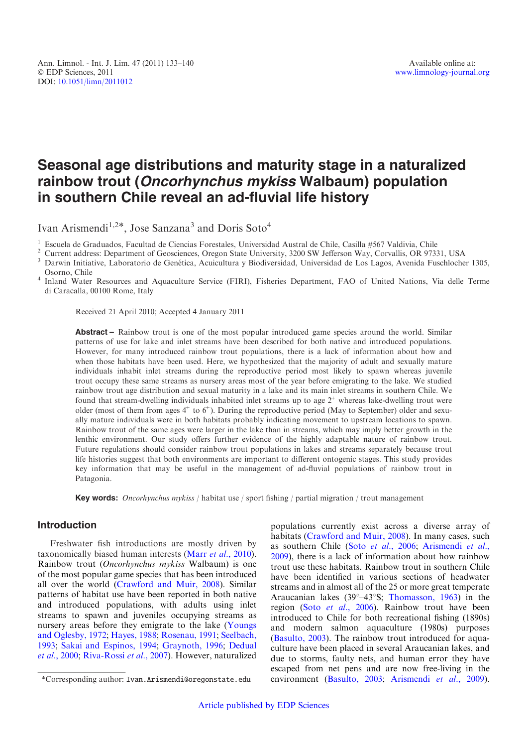# Seasonal age distributions and maturity stage in a naturalized rainbow trout (Oncorhynchus mykiss Walbaum) population in southern Chile reveal an ad-fluvial life history

Ivan Arismendi<sup>1,2\*</sup>, Jose Sanzana<sup>3</sup> and Doris Soto<sup>4</sup>

<sup>1</sup> Escuela de Graduados, Facultad de Ciencias Forestales, Universidad Austral de Chile, Casilla #567 Valdivia, Chile<br><sup>2</sup> Current address: Department of Geosciences, Oregon State University, 3200 SW Jefferson Way, Corvall

Osorno, Chile <sup>4</sup> Inland Water Resources and Aquaculture Service (FIRI), Fisheries Department, FAO of United Nations, Via delle Terme di Caracalla, 00100 Rome, Italy

Received 21 April 2010; Accepted 4 January 2011

Abstract – Rainbow trout is one of the most popular introduced game species around the world. Similar patterns of use for lake and inlet streams have been described for both native and introduced populations. However, for many introduced rainbow trout populations, there is a lack of information about how and when those habitats have been used. Here, we hypothesized that the majority of adult and sexually mature individuals inhabit inlet streams during the reproductive period most likely to spawn whereas juvenile trout occupy these same streams as nursery areas most of the year before emigrating to the lake. We studied rainbow trout age distribution and sexual maturity in a lake and its main inlet streams in southern Chile. We found that stream-dwelling individuals inhabited inlet streams up to age  $2^+$  whereas lake-dwelling trout were older (most of them from ages  $4^+$  to  $6^+$ ). During the reproductive period (May to September) older and sexually mature individuals were in both habitats probably indicating movement to upstream locations to spawn. Rainbow trout of the same ages were larger in the lake than in streams, which may imply better growth in the lenthic environment. Our study offers further evidence of the highly adaptable nature of rainbow trout. Future regulations should consider rainbow trout populations in lakes and streams separately because trout life histories suggest that both environments are important to different ontogenic stages. This study provides key information that may be useful in the management of ad-fluvial populations of rainbow trout in Patagonia.

**Key words:** Oncorhynchus mykiss / habitat use / sport fishing / partial migration / trout management

# Introduction

Freshwater fish introductions are mostly driven by taxonomically biased human interests (Marr et al[., 2010](#page-6-0)). Rainbow trout (Oncorhynchus mykiss Walbaum) is one of the most popular game species that has been introduced all over the world [\(Crawford and Muir, 2008](#page-6-0)). Similar patterns of habitat use have been reported in both native and introduced populations, with adults using inlet streams to spawn and juveniles occupying streams as nursery areas before they emigrate to the lake [\(Youngs](#page-7-0) [and Oglesby, 1972;](#page-7-0) [Hayes, 1988](#page-6-0); [Rosenau, 1991](#page-6-0); [Seelbach,](#page-6-0) [1993](#page-6-0); [Sakai and Espinos, 1994;](#page-6-0) [Graynoth, 1996;](#page-6-0) [Dedual](#page-6-0) et al.[, 2000;](#page-6-0) [Riva-Rossi](#page-6-0) et al., 2007). However, naturalized

populations currently exist across a diverse array of habitats ([Crawford and Muir, 2008\)](#page-6-0). In many cases, such as southern Chile (Soto et al.[, 2006](#page-7-0); [Arismendi](#page-6-0) et al., [2009](#page-6-0)), there is a lack of information about how rainbow trout use these habitats. Rainbow trout in southern Chile have been identified in various sections of headwater streams and in almost all of the 25 or more great temperate Araucanian lakes ( $39^{\circ} - 43^{\circ}$ S; [Thomasson, 1963](#page-7-0)) in the region (Soto et al.[, 2006\)](#page-7-0). Rainbow trout have been introduced to Chile for both recreational fishing (1890s) and modern salmon aquaculture (1980s) purposes ([Basulto, 2003](#page-6-0)). The rainbow trout introduced for aquaculture have been placed in several Araucanian lakes, and due to storms, faulty nets, and human error they have escaped from net pens and are now free-living in the \*Corresponding author: Ivan.Arismendi@oregonstate.edu environment [\(Basulto, 2003;](#page-6-0) [Arismendi](#page-6-0) et al., 2009).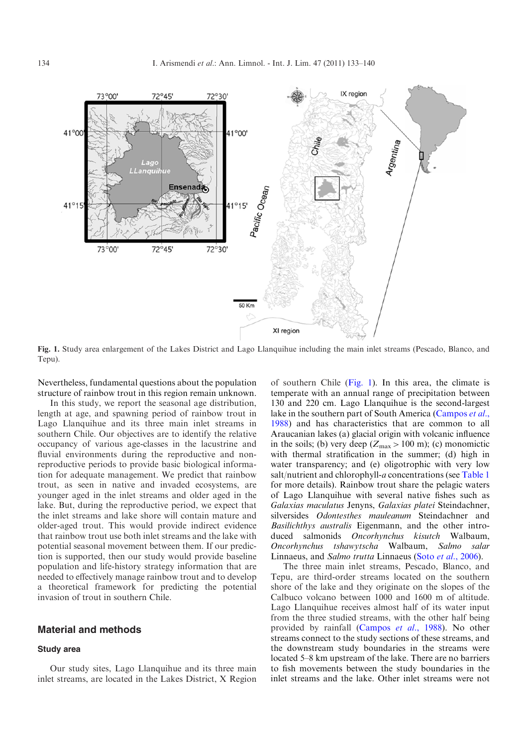

Fig. 1. Study area enlargement of the Lakes District and Lago Llanquihue including the main inlet streams (Pescado, Blanco, and Tepu).

Nevertheless, fundamental questions about the population structure of rainbow trout in this region remain unknown.

In this study, we report the seasonal age distribution, length at age, and spawning period of rainbow trout in Lago Llanquihue and its three main inlet streams in southern Chile. Our objectives are to identify the relative occupancy of various age-classes in the lacustrine and fluvial environments during the reproductive and nonreproductive periods to provide basic biological information for adequate management. We predict that rainbow trout, as seen in native and invaded ecosystems, are younger aged in the inlet streams and older aged in the lake. But, during the reproductive period, we expect that the inlet streams and lake shore will contain mature and older-aged trout. This would provide indirect evidence that rainbow trout use both inlet streams and the lake with potential seasonal movement between them. If our prediction is supported, then our study would provide baseline population and life-history strategy information that are needed to effectively manage rainbow trout and to develop a theoretical framework for predicting the potential invasion of trout in southern Chile.

# Material and methods

# Study area

Our study sites, Lago Llanquihue and its three main inlet streams, are located in the Lakes District, X Region

of southern Chile  $(Fig. 1)$ . In this area, the climate is temperate with an annual range of precipitation between 130 and 220 cm. Lago Llanquihue is the second-largest lake in the southern part of South America ([Campos](#page-6-0) et al., [1988](#page-6-0)) and has characteristics that are common to all Araucanian lakes (a) glacial origin with volcanic influence in the soils; (b) very deep  $(Z_{\text{max}} > 100 \text{ m})$ ; (c) monomictic with thermal stratification in the summer; (d) high in water transparency; and (e) oligotrophic with very low salt/nutrient and chlorophyll-a concentrations (see [Table 1](#page-2-0) for more details). Rainbow trout share the pelagic waters of Lago Llanquihue with several native fishes such as Galaxias maculatus Jenyns, Galaxias platei Steindachner, silversides Odontesthes mauleanum Steindachner and Basilichthys australis Eigenmann, and the other introduced salmonids Oncorhynchus kisutch Walbaum, Oncorhynchus tshawytscha Walbaum, Salmo salar Linnaeus, and Salmo trutta Linnaeus (Soto et al.[, 2006](#page-7-0)).

The three main inlet streams, Pescado, Blanco, and Tepu, are third-order streams located on the southern shore of the lake and they originate on the slopes of the Calbuco volcano between 1000 and 1600 m of altitude. Lago Llanquihue receives almost half of its water input from the three studied streams, with the other half being provided by rainfall ([Campos](#page-6-0) et al., 1988). No other streams connect to the study sections of these streams, and the downstream study boundaries in the streams were located 5–8 km upstream of the lake. There are no barriers to fish movements between the study boundaries in the inlet streams and the lake. Other inlet streams were not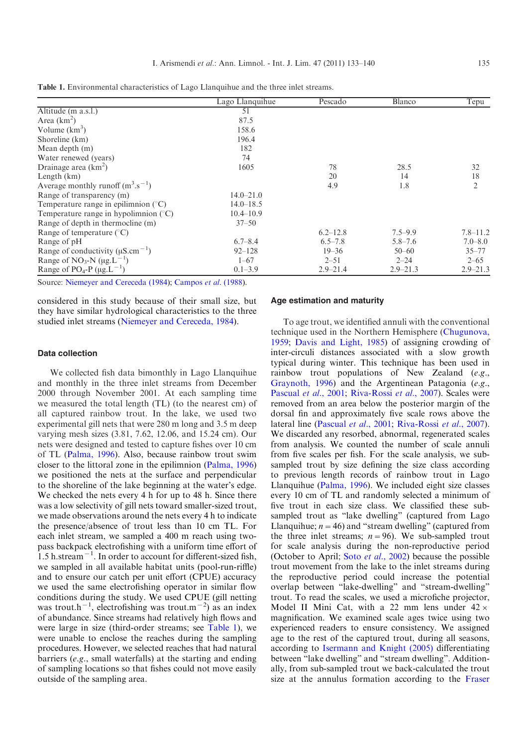|                                                         | Lago Llanquihue | Pescado      | Blanco       | Tepu           |
|---------------------------------------------------------|-----------------|--------------|--------------|----------------|
| Altitude (m a.s.l.)                                     | 51              |              |              |                |
| Area $(km^2)$                                           | 87.5            |              |              |                |
| Volume $(km^3)$                                         | 158.6           |              |              |                |
| Shoreline (km)                                          | 196.4           |              |              |                |
| Mean depth (m)                                          | 182             |              |              |                |
| Water renewed (years)                                   | 74              |              |              |                |
| Drainage area $(km^2)$                                  | 1605            | 78           | 28.5         | 32             |
| Length $(km)$                                           |                 | 20           | 14           | 18             |
| Average monthly runoff $(m^3 \text{.} s^{-1})$          |                 | 4.9          | 1.8          | $\overline{2}$ |
| Range of transparency (m)                               | $14.0 - 21.0$   |              |              |                |
| Temperature range in epilimnion $(°C)$                  | $14.0 - 18.5$   |              |              |                |
| Temperature range in hypolimnion $({}^{\circ}C)$        | $10.4 - 10.9$   |              |              |                |
| Range of depth in thermocline (m)                       | $37 - 50$       |              |              |                |
| Range of temperature $(^{\circ}C)$                      |                 | $6.2 - 12.8$ | $7.5 - 9.9$  | $7.8 - 11.2$   |
| Range of pH                                             | $6.7 - 8.4$     | $6.5 - 7.8$  | $5.8 - 7.6$  | $7.0 - 8.0$    |
| Range of conductivity ( $\mu$ S.cm <sup>-1</sup> )      | $92 - 128$      | $19 - 36$    | $50 - 60$    | $35 - 77$      |
| Range of NO <sub>3</sub> -N ( $\mu$ g.L <sup>-1</sup> ) | $1 - 67$        | $2 - 51$     | $2 - 24$     | $2 - 65$       |
| Range of PO <sub>4</sub> -P ( $\mu$ g.L <sup>-1</sup> ) | $0.1 - 3.9$     | $2.9 - 21.4$ | $2.9 - 21.3$ | $2.9 - 21.3$   |

<span id="page-2-0"></span>Table 1. Environmental characteristics of Lago Llanquihue and the three inlet streams.

Source: [Niemeyer and Cereceda \(1984](#page-6-0)); [Campos](#page-6-0) et al. (1988).

considered in this study because of their small size, but they have similar hydrological characteristics to the three studied inlet streams ([Niemeyer and Cereceda, 1984\)](#page-6-0).

#### Data collection

We collected fish data bimonthly in Lago Llanquihue and monthly in the three inlet streams from December 2000 through November 2001. At each sampling time we measured the total length (TL) (to the nearest cm) of all captured rainbow trout. In the lake, we used two experimental gill nets that were 280 m long and 3.5 m deep varying mesh sizes (3.81, 7.62, 12.06, and 15.24 cm). Our nets were designed and tested to capture fishes over 10 cm of TL ([Palma, 1996\)](#page-6-0). Also, because rainbow trout swim closer to the littoral zone in the epilimnion [\(Palma, 1996](#page-6-0)) we positioned the nets at the surface and perpendicular to the shoreline of the lake beginning at the water's edge. We checked the nets every 4 h for up to 48 h. Since there was a low selectivity of gill nets toward smaller-sized trout, we made observations around the nets every 4 h to indicate the presence/absence of trout less than 10 cm TL. For each inlet stream, we sampled a 400 m reach using twopass backpack electrofishing with a uniform time effort of  $1.5$  h.stream<sup>-1</sup>. In order to account for different-sized fish, we sampled in all available habitat units (pool-run-riffle) and to ensure our catch per unit effort (CPUE) accuracy we used the same electrofishing operator in similar flow conditions during the study. We used CPUE (gill netting was trout.h<sup>-1</sup>, electrofishing was trout.m<sup>-2</sup>) as an index of abundance. Since streams had relatively high flows and were large in size (third-order streams; see Table 1), we were unable to enclose the reaches during the sampling procedures. However, we selected reaches that had natural barriers (e.g., small waterfalls) at the starting and ending of sampling locations so that fishes could not move easily outside of the sampling area.

#### Age estimation and maturity

To age trout, we identified annuli with the conventional technique used in the Northern Hemisphere [\(Chugunova,](#page-6-0) [1959](#page-6-0); [Davis and Light, 1985](#page-6-0)) of assigning crowding of inter-circuli distances associated with a slow growth typical during winter. This technique has been used in rainbow trout populations of New Zealand (e.g., [Graynoth, 1996](#page-6-0)) and the Argentinean Patagonia (e.g., [Pascual](#page-6-0) et al., 2001; [Riva-Rossi](#page-6-0) et al., 2007). Scales were removed from an area below the posterior margin of the dorsal fin and approximately five scale rows above the lateral line ([Pascual](#page-6-0) et al., 2001; [Riva-Rossi](#page-6-0) et al., 2007). We discarded any resorbed, abnormal, regenerated scales from analysis. We counted the number of scale annuli from five scales per fish. For the scale analysis, we subsampled trout by size defining the size class according to previous length records of rainbow trout in Lago Llanquihue ([Palma, 1996\)](#page-6-0). We included eight size classes every 10 cm of TL and randomly selected a minimum of five trout in each size class. We classified these subsampled trout as "lake dwelling" (captured from Lago Llanquihue;  $n=46$ ) and "stream dwelling" (captured from the three inlet streams;  $n = 96$ ). We sub-sampled trout for scale analysis during the non-reproductive period (October to April; Soto et al.[, 2002\)](#page-6-0) because the possible trout movement from the lake to the inlet streams during the reproductive period could increase the potential overlap between "lake-dwelling" and "stream-dwelling" trout. To read the scales, we used a microfiche projector, Model II Mini Cat, with a 22 mm lens under  $42 \times$ magnification. We examined scale ages twice using two experienced readers to ensure consistency. We assigned age to the rest of the captured trout, during all seasons, according to [Isermann and Knight \(2005\)](#page-6-0) differentiating between "lake dwelling" and "stream dwelling". Additionally, from sub-sampled trout we back-calculated the trout size at the annulus formation according to the [Fraser](#page-6-0)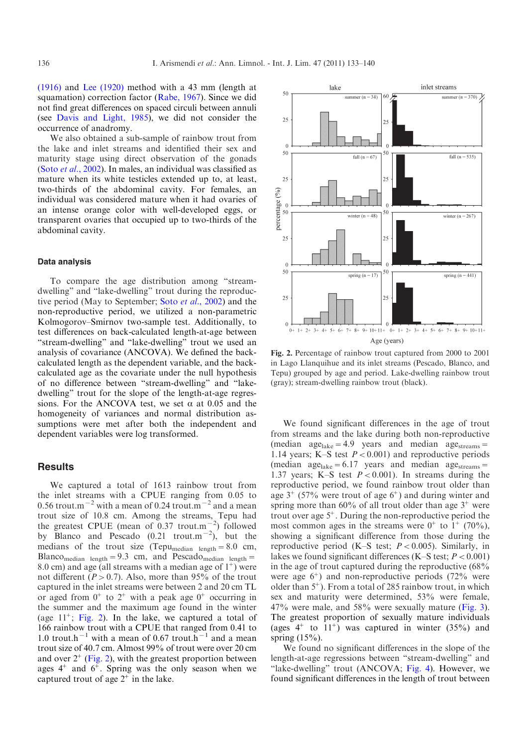[\(1916\)](#page-6-0) and [Lee \(1920\)](#page-6-0) method with a 43 mm (length at squamation) correction factor [\(Rabe, 1967](#page-6-0)). Since we did not find great differences on spaced circuli between annuli (see [Davis and Light, 1985\)](#page-6-0), we did not consider the occurrence of anadromy.

We also obtained a sub-sample of rainbow trout from the lake and inlet streams and identified their sex and maturity stage using direct observation of the gonads (Soto et al[., 2002](#page-6-0)). In males, an individual was classified as mature when its white testicles extended up to, at least, two-thirds of the abdominal cavity. For females, an individual was considered mature when it had ovaries of an intense orange color with well-developed eggs, or transparent ovaries that occupied up to two-thirds of the abdominal cavity.

#### Data analysis

To compare the age distribution among "streamdwelling" and "lake-dwelling" trout during the reproduc-tive period (May to September; Soto et al.[, 2002\)](#page-6-0) and the non-reproductive period, we utilized a non-parametric Kolmogorov–Smirnov two-sample test. Additionally, to test differences on back-calculated length-at-age between "stream-dwelling" and "lake-dwelling" trout we used an analysis of covariance (ANCOVA). We defined the backcalculated length as the dependent variable, and the backcalculated age as the covariate under the null hypothesis of no difference between "stream-dwelling" and "lakedwelling" trout for the slope of the length-at-age regressions. For the ANCOVA test, we set  $\alpha$  at 0.05 and the homogeneity of variances and normal distribution assumptions were met after both the independent and dependent variables were log transformed.

## Results

We captured a total of 1613 rainbow trout from the inlet streams with a CPUE ranging from 0.05 to 0.56 trout.m<sup> $-2$ </sup> with a mean of 0.24 trout.m<sup> $-2$ </sup> and a mean trout size of 10.8 cm. Among the streams, Tepu had the greatest CPUE (mean of 0.37 trout.m<sup> $^{-2}$ </sup>) followed by Blanco and Pescado  $(0.21 \text{ trout.m}^{-2})$ , but the medians of the trout size (Tepu<sub>median length</sub>=8.0 cm, Blanco<sub>median length</sub>=9.3 cm, and Pescado<sub>median length</sub>= 8.0 cm) and age (all streams with a median age of  $1^+$ ) were not different ( $P > 0.7$ ). Also, more than 95% of the trout captured in the inlet streams were between 2 and 20 cm TL or aged from  $0^+$  to  $2^+$  with a peak age  $0^+$  occurring in the summer and the maximum age found in the winter (age  $11^{\text{+}}$ ; Fig. 2). In the lake, we captured a total of 166 rainbow trout with a CPUE that ranged from 0.41 to 1.0 trout.h<sup>-1</sup> with a mean of 0.67 trout.h<sup>-1</sup> and a mean trout size of 40.7 cm. Almost 99% of trout were over 20 cm and over  $2^+$  (Fig. 2), with the greatest proportion between ages  $4^+$  and  $6^+$ . Spring was the only season when we captured trout of age  $2^+$  in the lake.



Fig. 2. Percentage of rainbow trout captured from 2000 to 2001 in Lago Llanquihue and its inlet streams (Pescado, Blanco, and Tepu) grouped by age and period. Lake-dwelling rainbow trout (gray); stream-dwelling rainbow trout (black).

We found significant differences in the age of trout from streams and the lake during both non-reproductive (median  $age_{\text{late}} = 4.9$  years and median  $age_{\text{stream}} =$ 1.14 years; K–S test  $P < 0.001$ ) and reproductive periods (median age<sub>lake</sub>=6.17 years and median age<sub>streams</sub>= 1.37 years; K–S test  $P < 0.001$ ). In streams during the reproductive period, we found rainbow trout older than age  $3^+$  (57% were trout of age  $6^+$ ) and during winter and spring more than  $60\%$  of all trout older than age  $3^+$  were trout over age  $5^+$ . During the non-reproductive period the most common ages in the streams were  $0^+$  to  $1^+$  (70%), showing a significant difference from those during the reproductive period (K–S test;  $P < 0.005$ ). Similarly, in lakes we found significant differences (K–S test;  $P < 0.001$ ) in the age of trout captured during the reproductive (68% were age  $6^+$ ) and non-reproductive periods (72% were older than  $5^{\circ}$ ). From a total of 285 rainbow trout, in which sex and maturity were determined, 53% were female,  $47\%$  were male, and  $58\%$  were sexually mature ([Fig. 3](#page-4-0)). The greatest proportion of sexually mature individuals (ages  $4^+$  to  $11^+$ ) was captured in winter (35%) and spring (15%).

We found no significant differences in the slope of the length-at-age regressions between "stream-dwelling" and "lake-dwelling" trout (ANCOVA; [Fig. 4](#page-4-0)). However, we found significant differences in the length of trout between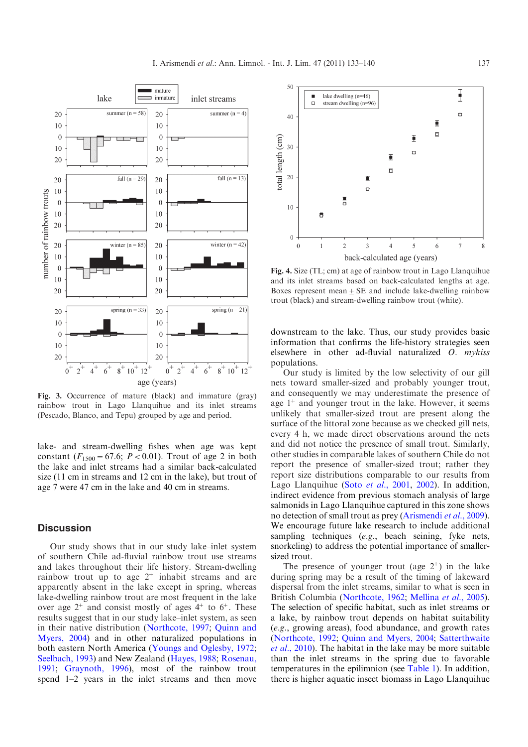<span id="page-4-0"></span>

Fig. 3. Occurrence of mature (black) and immature (gray) rainbow trout in Lago Llanquihue and its inlet streams (Pescado, Blanco, and Tepu) grouped by age and period.

lake- and stream-dwelling fishes when age was kept constant ( $F_{1500} = 67.6$ ;  $P < 0.01$ ). Trout of age 2 in both the lake and inlet streams had a similar back-calculated size (11 cm in streams and 12 cm in the lake), but trout of age 7 were 47 cm in the lake and 40 cm in streams.

# **Discussion**

Our study shows that in our study lake–inlet system of southern Chile ad-fluvial rainbow trout use streams and lakes throughout their life history. Stream-dwelling rainbow trout up to age  $2^+$  inhabit streams and are apparently absent in the lake except in spring, whereas lake-dwelling rainbow trout are most frequent in the lake over age  $2^+$  and consist mostly of ages  $4^+$  to  $6^+$ . These results suggest that in our study lake–inlet system, as seen in their native distribution ([Northcote, 1997](#page-6-0); [Quinn and](#page-6-0) [Myers, 2004\)](#page-6-0) and in other naturalized populations in both eastern North America ([Youngs and Oglesby, 1972;](#page-7-0) [Seelbach, 1993\)](#page-6-0) and New Zealand ([Hayes, 1988](#page-6-0); [Rosenau,](#page-6-0) [1991](#page-6-0); [Graynoth, 1996\)](#page-6-0), most of the rainbow trout spend 1–2 years in the inlet streams and then move



Fig. 4. Size (TL; cm) at age of rainbow trout in Lago Llanquihue and its inlet streams based on back-calculated lengths at age. Boxes represent mean  $\pm$  SE and include lake-dwelling rainbow trout (black) and stream-dwelling rainbow trout (white).

downstream to the lake. Thus, our study provides basic information that confirms the life-history strategies seen elsewhere in other ad-fluvial naturalized O. mykiss populations.

Our study is limited by the low selectivity of our gill nets toward smaller-sized and probably younger trout, and consequently we may underestimate the presence of age  $1^+$  and younger trout in the lake. However, it seems unlikely that smaller-sized trout are present along the surface of the littoral zone because as we checked gill nets, every 4 h, we made direct observations around the nets and did not notice the presence of small trout. Similarly, other studies in comparable lakes of southern Chile do not report the presence of smaller-sized trout; rather they report size distributions comparable to our results from Lago Llanquihue (Soto et al.[, 2001,](#page-6-0) [2002\)](#page-6-0). In addition, indirect evidence from previous stomach analysis of large salmonids in Lago Llanquihue captured in this zone shows no detection of small trout as prey ([Arismendi](#page-6-0) *et al.*, 2009). We encourage future lake research to include additional sampling techniques (e.g., beach seining, fyke nets, snorkeling) to address the potential importance of smallersized trout.

The presence of younger trout (age  $2^+$ ) in the lake during spring may be a result of the timing of lakeward dispersal from the inlet streams, similar to what is seen in British Columbia [\(Northcote, 1962;](#page-6-0) [Mellina](#page-6-0) et al., 2005). The selection of specific habitat, such as inlet streams or a lake, by rainbow trout depends on habitat suitability (e.g., growing areas), food abundance, and growth rates ([Northcote, 1992;](#page-6-0) [Quinn and Myers, 2004](#page-6-0); [Satterthwaite](#page-6-0) et al[., 2010\)](#page-6-0). The habitat in the lake may be more suitable than the inlet streams in the spring due to favorable temperatures in the epilimnion (see [Table 1](#page-2-0)). In addition, there is higher aquatic insect biomass in Lago Llanquihue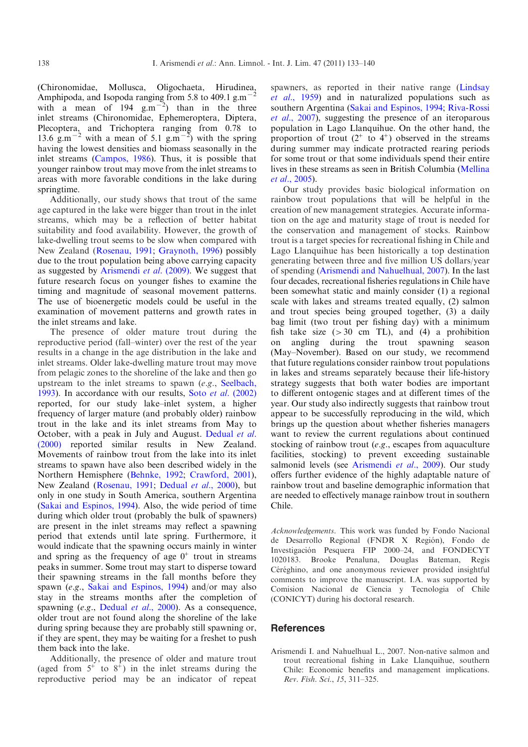(Chironomidae, Mollusca, Oligochaeta, Hirudinea, Amphipoda, and Isopoda ranging from 5.8 to 409.1 g.m<sup> $-2$ </sup> with a mean of  $194 \text{ g.m}^{-2}$  than in the three inlet streams (Chironomidae, Ephemeroptera, Diptera, Plecoptera, and Trichoptera ranging from 0.78 to 13.6  $g.m^{-2}$  with a mean of 5.1  $g.m^{-2}$ ) with the spring having the lowest densities and biomass seasonally in the inlet streams ([Campos, 1986\)](#page-6-0). Thus, it is possible that younger rainbow trout may move from the inlet streams to areas with more favorable conditions in the lake during springtime.

Additionally, our study shows that trout of the same age captured in the lake were bigger than trout in the inlet streams, which may be a reflection of better habitat suitability and food availability. However, the growth of lake-dwelling trout seems to be slow when compared with New Zealand ([Rosenau, 1991;](#page-6-0) [Graynoth, 1996\)](#page-6-0) possibly due to the trout population being above carrying capacity as suggested by [Arismendi](#page-6-0) et al. (2009). We suggest that future research focus on younger fishes to examine the timing and magnitude of seasonal movement patterns. The use of bioenergetic models could be useful in the examination of movement patterns and growth rates in the inlet streams and lake.

The presence of older mature trout during the reproductive period (fall–winter) over the rest of the year results in a change in the age distribution in the lake and inlet streams. Older lake-dwelling mature trout may move from pelagic zones to the shoreline of the lake and then go upstream to the inlet streams to spawn (e.g., [Seelbach,](#page-6-0) [1993](#page-6-0)). In accordance with our results, Soto et al[. \(2002\)](#page-6-0) reported, for our study lake–inlet system, a higher frequency of larger mature (and probably older) rainbow trout in the lake and its inlet streams from May to October, with a peak in July and August. [Dedual](#page-6-0) et al. [\(2000\)](#page-6-0) reported similar results in New Zealand. Movements of rainbow trout from the lake into its inlet streams to spawn have also been described widely in the Northern Hemisphere [\(Behnke, 1992;](#page-6-0) [Crawford, 2001](#page-6-0)), New Zealand [\(Rosenau, 1991;](#page-6-0) [Dedual](#page-6-0) et al., 2000), but only in one study in South America, southern Argentina ([Sakai and Espinos, 1994\)](#page-6-0). Also, the wide period of time during which older trout (probably the bulk of spawners) are present in the inlet streams may reflect a spawning period that extends until late spring. Furthermore, it would indicate that the spawning occurs mainly in winter and spring as the frequency of age  $0^+$  trout in streams peaks in summer. Some trout may start to disperse toward their spawning streams in the fall months before they spawn (e.g., [Sakai and Espinos, 1994](#page-6-0)) and/or may also stay in the streams months after the completion of spawning (e.g., [Dedual](#page-6-0) et al., 2000). As a consequence, older trout are not found along the shoreline of the lake during spring because they are probably still spawning or, if they are spent, they may be waiting for a freshet to push them back into the lake.

Additionally, the presence of older and mature trout (aged from  $5^+$  to  $8^+$ ) in the inlet streams during the reproductive period may be an indicator of repeat

spawners, as reported in their native range [\(Lindsay](#page-6-0) et al.[, 1959\)](#page-6-0) and in naturalized populations such as southern Argentina ([Sakai and Espinos, 1994;](#page-6-0) [Riva-Rossi](#page-6-0) et al.[, 2007\)](#page-6-0), suggesting the presence of an iteroparous population in Lago Llanquihue. On the other hand, the proportion of trout  $(2^+$  to  $4^+)$  observed in the streams during summer may indicate protracted rearing periods for some trout or that some individuals spend their entire lives in these streams as seen in British Columbia ([Mellina](#page-6-0) et al[., 2005\)](#page-6-0).

Our study provides basic biological information on rainbow trout populations that will be helpful in the creation of new management strategies. Accurate information on the age and maturity stage of trout is needed for the conservation and management of stocks. Rainbow trout is a target species for recreational fishing in Chile and Lago Llanquihue has been historically a top destination generating between three and five million US dollars/year of spending (Arismendi and Nahuelhual, 2007). In the last four decades, recreational fisheries regulations in Chile have been somewhat static and mainly consider (1) a regional scale with lakes and streams treated equally, (2) salmon and trout species being grouped together, (3) a daily bag limit (two trout per fishing day) with a minimum fish take size  $(>30 \text{ cm } TL)$ , and  $(4)$  a prohibition on angling during the trout spawning season (May–November). Based on our study, we recommend that future regulations consider rainbow trout populations in lakes and streams separately because their life-history strategy suggests that both water bodies are important to different ontogenic stages and at different times of the year. Our study also indirectly suggests that rainbow trout appear to be successfully reproducing in the wild, which brings up the question about whether fisheries managers want to review the current regulations about continued stocking of rainbow trout  $(e.g.,$  escapes from aquaculture facilities, stocking) to prevent exceeding sustainable salmonid levels (see [Arismendi](#page-6-0) et al., 2009). Our study offers further evidence of the highly adaptable nature of rainbow trout and baseline demographic information that are needed to effectively manage rainbow trout in southern Chile.

Acknowledgements. This work was funded by Fondo Nacional de Desarrollo Regional (FNDR X Región), Fondo de Investigación Pesquera FIP 2000–24, and FONDECYT 1020183. Brooke Penaluna, Douglas Bateman, Regis Céréghino, and one anonymous reviewer provided insightful comments to improve the manuscript. I.A. was supported by Comision Nacional de Ciencia y Tecnologia of Chile (CONICYT) during his doctoral research.

# **References**

Arismendi I. and Nahuelhual L., 2007. Non-native salmon and trout recreational fishing in Lake Llanquihue, southern Chile: Economic benefits and management implications. Rev. Fish. Sci., 15, 311–325.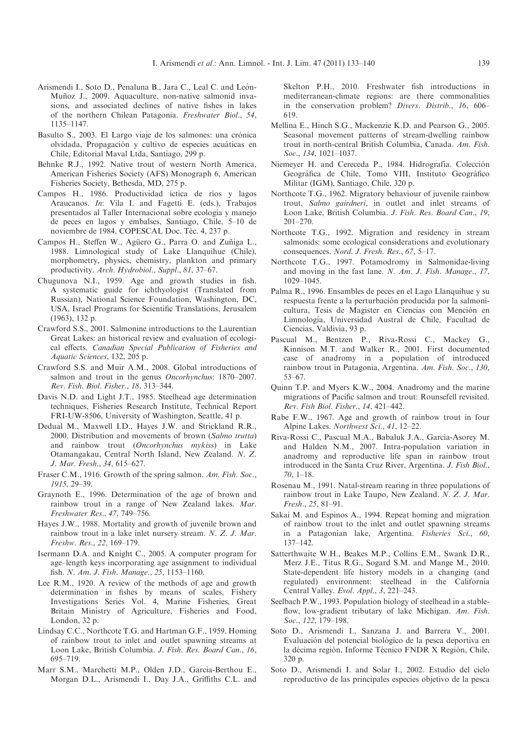- <span id="page-6-0"></span>Arismendi I., Soto D., Penaluna B., Jara C., Leal C. and León-Muñoz J., 2009. Aquaculture, non-native salmonid invasions, and associated declines of native fishes in lakes of the northern Chilean Patagonia. Freshwater Biol., 54, 1135–1147.
- Basulto S., 2003. El Largo viaje de los salmones: una crónica olvidada. Propagación y cultivo de especies acuáticas en Chile, Editorial Maval Ltda, Santiago, 299 p.
- Behnke R.J., 1992. Native trout of western North America, American Fisheries Society (AFS) Monograph 6, American Fisheries Society, Bethesda, MD, 275 p.
- Campos H., 1986. Productividad íctica de ríos y lagos Araucanos. In: Vila I. and Fagetti E. (eds.), Trabajos presentados al Taller Internacional sobre ecología y manejo de peces en lagos y embalses, Santiago, Chile, 5–10 de noviembre de 1984, COPESCAL Doc. Téc. 4, 237 p.
- Campos H., Steffen W., Agüero G., Parra O. and Zuñiga L., 1988. Limnological study of Lake Llanquihue (Chile), morphometry, physics, chemistry, plankton and primary productivity. Arch. Hydrobiol., Suppl., 81, 37–67.
- Chugunova N.I., 1959. Age and growth studies in fish. A systematic guide for ichthyologist (Translated from Russian), National Science Foundation, Washington, DC, USA, Israel Programs for Scientific Translations, Jerusalem (1963), 132 p.
- Crawford S.S., 2001. Salmonine introductions to the Laurentian Great Lakes: an historical review and evaluation of ecological effects. Canadian Special Publication of Fisheries and Aquatic Sciences, 132, 205 p.
- Crawford S.S. and Muir A.M., 2008. Global introductions of salmon and trout in the genus Oncorhynchus: 1870–2007. Rev. Fish. Biol. Fisher., 18, 313–344.
- Davis N.D. and Light J.T., 1985. Steelhead age determination techniques, Fisheries Research Institute, Technical Report FRI-UW-8506, University of Washington, Seattle, 41 p.
- Dedual M., Maxwell I.D., Hayes J.W. and Strickland R.R., 2000. Distribution and movements of brown (Salmo trutta) and rainbow trout (Oncorhynchus mykiss) in Lake Otamangakau, Central North Island, New Zealand. N. Z. J. Mar. Fresh., 34, 615–627.
- Fraser C.M., 1916. Growth of the spring salmon. Am. Fish. Soc., 1915, 29–39.
- Graynoth E., 1996. Determination of the age of brown and rainbow trout in a range of New Zealand lakes. Mar. Freshwater Res., 47, 749–756.
- Hayes J.W., 1988. Mortality and growth of juvenile brown and rainbow trout in a lake inlet nursery stream. N. Z. J. Mar. Freshw. Res., 22, 169–179.
- Isermann D.A. and Knight C., 2005. A computer program for age–length keys incorporating age assignment to individual fish. N. Am. J. Fish. Manage., 25, 1153–1160.
- Lee R.M., 1920. A review of the methods of age and growth determination in fishes by means of scales, Fishery Investigations Series Vol. 4, Marine Fisheries, Great Britain Ministry of Agriculture, Fisheries and Food, London, 32 p.
- Lindsay C.C., Northcote T.G. and Hartman G.F., 1959. Homing of rainbow trout to inlet and outlet spawning streams at Loon Lake, British Columbia. J. Fish. Res. Board Can., 16, 695–719.
- Marr S.M., Marchetti M.P., Olden J.D., Garcia-Berthou E., Morgan D.L., Arismendi I., Day J.A., Griffiths C.L. and

Skelton P.H., 2010. Freshwater fish introductions in mediterranean-climate regions: are there commonalities in the conservation problem? Divers. Distrib., 16, 606– 619.

- Mellina E., Hinch S.G., Mackenzie K.D. and Pearson G., 2005. Seasonal movement patterns of stream-dwelling rainbow trout in north-central British Columbia, Canada. Am. Fish. Soc., 134, 1021–1037.
- Niemeyer H. and Cereceda P., 1984. Hidrografía. Colección Geográfica de Chile, Tomo VIII, Instituto Geográfico Militar (IGM), Santiago, Chile, 320 p.
- Northcote T.G., 1962. Migratory behaviour of juvenile rainbow trout, Salmo gairdneri, in outlet and inlet streams of Loon Lake, British Columbia. J. Fish. Res. Board Can., 19, 201–270.
- Northcote T.G., 1992. Migration and residency in stream salmonids: some ecological considerations and evolutionary consequences. Nord. J. Fresh. Res., 67, 5–17.
- Northcote T.G., 1997. Potamodromy in Salmonidae-living and moving in the fast lane. N. Am. J. Fish. Manage., 17, 1029–1045.
- Palma R., 1996. Ensambles de peces en el Lago Llanquihue y su respuesta frente a la perturbación producida por la salmonicultura, Tesis de Magister en Ciencias con Mención en Limnología, Universidad Austral de Chile, Facultad de Ciencias, Valdivia, 93 p.
- Pascual M., Bentzen P., Riva-Rossi C., Mackey G., Kinnison M.T. and Walker R., 2001. First documented case of anadromy in a population of introduced rainbow trout in Patagonia, Argentina. Am. Fish. Soc., 130, 53–67.
- Quinn T.P. and Myers K.W., 2004. Anadromy and the marine migrations of Pacific salmon and trout: Rounsefell revisited. Rev. Fish Biol. Fisher., 14, 421–442.
- Rabe F.W., 1967. Age and growth of rainbow trout in four Alpine Lakes. Northwest Sci., 41, 12–22.
- Riva-Rossi C., Pascual M.A., Babaluk J.A., García-Asorey M. and Halden N.M., 2007. Intra-population variation in anadromy and reproductive life span in rainbow trout introduced in the Santa Cruz River, Argentina. J. Fish Biol., 70, 1–18.
- Rosenau M., 1991. Natal-stream rearing in three populations of rainbow trout in Lake Taupo, New Zealand. N. Z. J. Mar. Fresh., 25, 81–91.
- Sakai M. and Espinos A., 1994. Repeat homing and migration of rainbow trout to the inlet and outlet spawning streams in a Patagonian lake, Argentina. Fisheries Sci., 60, 137–142.
- Satterthwaite W.H., Beakes M.P., Collins E.M., Swank D.R., Merz J.E., Titus R.G., Sogard S.M. and Mange M., 2010. State-dependent life history models in a changing (and regulated) environment: steelhead in the California Central Valley. Evol. Appl., 3, 221–243.
- Seelbach P.W., 1993. Population biology of steelhead in a stableflow, low-gradient tributary of lake Michigan. Am. Fish. Soc., 122, 179-198.
- Soto D., Arismendi I., Sanzana J. and Barrera V., 2001. Evaluación del potencial biológico de la pesca deportiva en la décima región, Informe Técnico FNDR X Región, Chile, 320 p.
- Soto D., Arismendi I. and Solar I., 2002. Estudio del ciclo reproductivo de las principales especies objetivo de la pesca